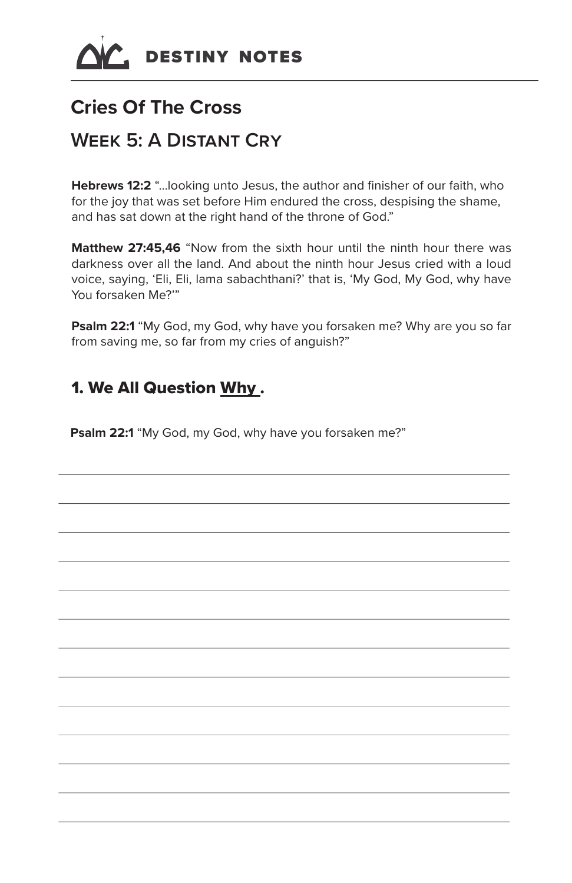

# **Cries Of The Cross**

# **Week 5: A Distant Cry**

**Hebrews 12:2** "…looking unto Jesus, the author and finisher of our faith, who for the joy that was set before Him endured the cross, despising the shame, and has sat down at the right hand of the throne of God."

**Matthew 27:45.46** "Now from the sixth hour until the ninth hour there was darkness over all the land. And about the ninth hour Jesus cried with a loud voice, saying, 'Eli, Eli, lama sabachthani?' that is, 'My God, My God, why have You forsaken Me?'"

**Psalm 22:1** "My God, my God, why have you forsaken me? Why are you so far from saving me, so far from my cries of anguish?"

#### 1. We All Question Why .

**Psalm 22:1** "My God, my God, why have you forsaken me?"